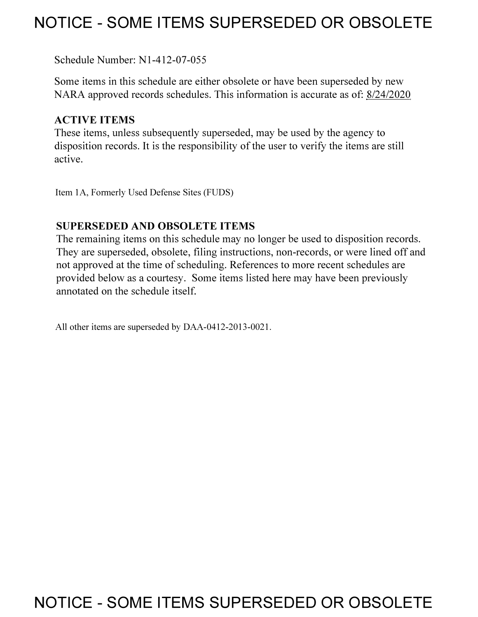## **NOTICE - SOME ITEMS SUPERSEDED OR OBSOLETE**

Schedule Number: Nl-412-07-055

Some items in this schedule are either obsolete or have been superseded by new NARA approved records schedules. This information is accurate as of: 8/24/2020

### **ACTIVE ITEMS**

These items, unless subsequently superseded, may be used by the agency to disposition records. It is the responsibility of the user to verify the items are still active.

Item IA, Formerly Used Defense Sites (FUDS)

### **SUPERSEDED AND OBSOLETE ITEMS**

The remaining items on this schedule may no longer be used to disposition records. They are superseded, obsolete, filing instructions, non-records, or were lined off and not approved at the time of scheduling. References to more recent schedules are provided below as a courtesy. Some items listed here may have been previously annotated on the schedule itself.

All other items are superseded by DAA-0412-2013-0021.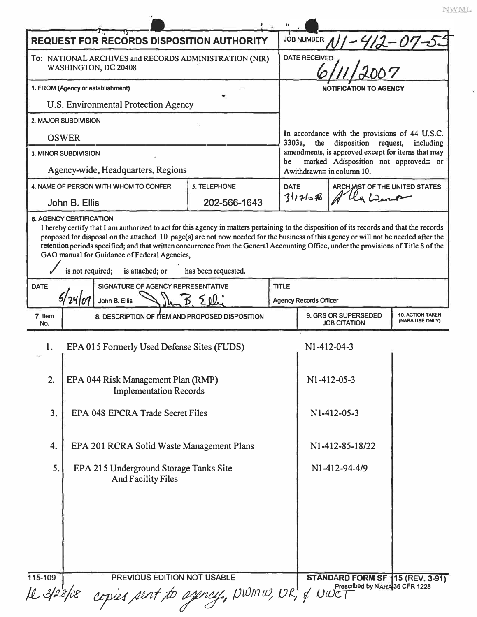|                                                        | <b>REQUEST FOR RECORDS DISPOSITION AUTHORITY</b>                                                                          |                     |              | JOB NUMBER                                                                                                                                                                                              |                                |  |
|--------------------------------------------------------|---------------------------------------------------------------------------------------------------------------------------|---------------------|--------------|---------------------------------------------------------------------------------------------------------------------------------------------------------------------------------------------------------|--------------------------------|--|
| To: NATIONAL ARCHIVES and RECORDS ADMINISTRATION (NIR) |                                                                                                                           |                     |              | $412 - 07 - 5$<br><b>DATE RECEIVED</b>                                                                                                                                                                  |                                |  |
| WASHINGTON, DC 20408                                   |                                                                                                                           |                     |              |                                                                                                                                                                                                         |                                |  |
| 1. FROM (Agency or establishment)                      |                                                                                                                           |                     |              | <b>NOTIFICATION TO AGENCY</b>                                                                                                                                                                           |                                |  |
|                                                        | U.S. Environmental Protection Agency                                                                                      |                     |              |                                                                                                                                                                                                         |                                |  |
|                                                        | 2. MAJOR SUBDIVISION                                                                                                      |                     |              |                                                                                                                                                                                                         |                                |  |
| <b>OSWER</b>                                           |                                                                                                                           |                     |              | In accordance with the provisions of 44 U.S.C.<br>3303a,<br>the<br>disposition request,<br>including<br>amendments, is approved except for items that may<br>marked Adisposition not approved≅ or<br>be |                                |  |
| 3. MINOR SUBDIVISION                                   |                                                                                                                           |                     |              |                                                                                                                                                                                                         |                                |  |
|                                                        | Agency-wide, Headquarters, Regions                                                                                        |                     |              |                                                                                                                                                                                                         | Awithdrawn= in column 10.      |  |
| 4. NAME OF PERSON WITH WHOM TO CONFER                  |                                                                                                                           | 5. TELEPHONE        |              | <b>DATE</b>                                                                                                                                                                                             | ARCHIVIST OF THE UNITED STATES |  |
|                                                        | John B. Ellis                                                                                                             | 202-566-1643        |              | 311708                                                                                                                                                                                                  |                                |  |
| <b>DATE</b>                                            | GAO manual for Guidance of Federal Agencies,<br>is not required;<br>is attached; or<br>SIGNATURE OF AGENCY REPRESENTATIVE | has been requested. | <b>TITLE</b> |                                                                                                                                                                                                         |                                |  |
| John B. Ellis                                          |                                                                                                                           |                     |              | <b>Agency Records Officer</b>                                                                                                                                                                           |                                |  |
| 7. Item<br>No.                                         | 8. DESCRIPTION OF ITEM AND PROPOSED DISPOSITION                                                                           |                     |              | 9. GRS OR SUPERSEDED<br><b>10. ACTION TAKEN</b><br>(NARA USE ONLY)<br><b>JOB CITATION</b>                                                                                                               |                                |  |
|                                                        | EPA 015 Formerly Used Defense Sites (FUDS)                                                                                |                     |              | N1-412-04-3                                                                                                                                                                                             |                                |  |
|                                                        |                                                                                                                           |                     |              |                                                                                                                                                                                                         |                                |  |
| 2.                                                     | EPA 044 Risk Management Plan (RMP)<br><b>Implementation Records</b>                                                       |                     |              |                                                                                                                                                                                                         | N1-412-05-3                    |  |
| 3.                                                     | EPA 048 EPCRA Trade Secret Files                                                                                          |                     |              |                                                                                                                                                                                                         | N1-412-05-3                    |  |
| 4.                                                     | EPA 201 RCRA Solid Waste Management Plans                                                                                 |                     |              |                                                                                                                                                                                                         | N1-412-85-18/22                |  |
| 5.                                                     | EPA 215 Underground Storage Tanks Site<br><b>And Facility Files</b>                                                       |                     |              |                                                                                                                                                                                                         | N1-412-94-4/9                  |  |
|                                                        |                                                                                                                           |                     |              |                                                                                                                                                                                                         |                                |  |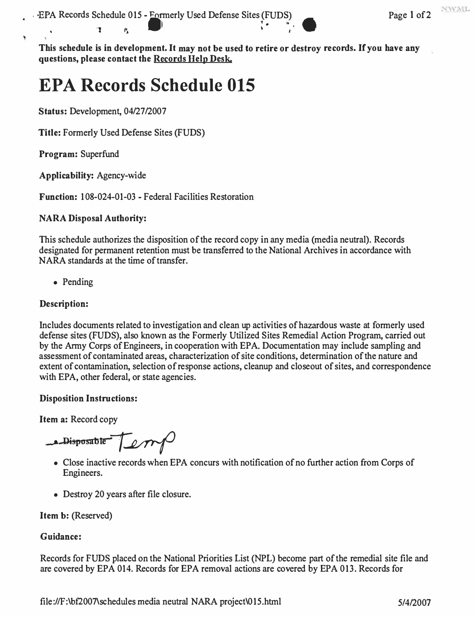## **EPA Records Schedule 015**

**Status:** Development, 04/27/2007

•  $\mathbb{Z}$  ,  $\mathbb{P}_k$ 

**Title:** Formerly Used Defense Sites (FUDS)

**Program:** Superfund

**Applicability:** Agency-wide

**Function:** 108-024-01-03 - Federal Facilities Restoration

#### **NARA Disposal Authority:**

This schedule authorizes the disposition of the record copy in any media (media neutral). Records designated for permanent retention must be transferred to the National Archives in accordance with NARA standards at the time of transfer.

• Pending

#### **Description:**

Includes documents related to investigation and clean up activities of hazardous waste at formerly used defense sites (FUDS), also known as the Formerly Utilized Sites Remedial Action Program, carried out by the Anny Corps of Engineers, in cooperation with EPA. Documentation may include sampling and assessment of contaminated areas, characterization of site conditions, determination of the nature and extent of contamination, selection of response actions, cleanup and closeout of sites, and correspondence with EPA, other federal, or state agencies.

#### **Disposition Instructions:**

**Item a:** Record copy

**e** Disposable **Lett** 

- Close inactive records when EPA concurs with notification of no further action from Corps of Engineers.
- Destroy 20 years after file closure.

#### **Item** b: (Reserved)

#### **Guidance:**

Records for FUDS placed on the National Priorities List (NPL) become part of the remedial site file and are covered by EPA 014. Records for EPA removal actions are covered by EPA 013. Records for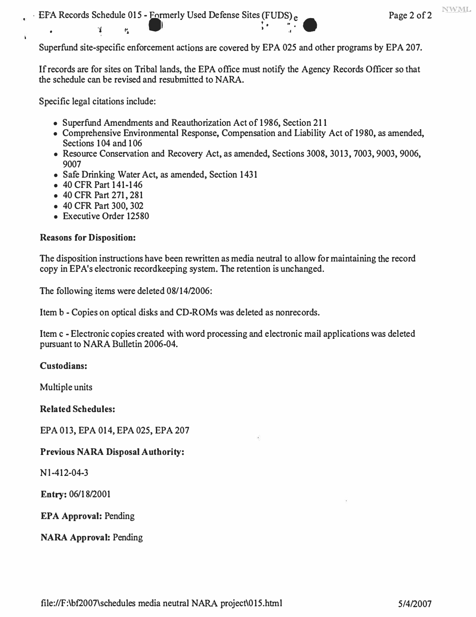Superfund site-specific enforcement actions are covered by EPA 025 and other programs by EPA 207.

If records are for sites on Tribal lands, the EPA office must notify the Agency Records Officer so that the schedule can be revised and resubmitted to **NARA.** 

Specific legal citations include:

 $\bullet$   $\frac{1}{2}$  for  $\frac{1}{2}$ 

- Superfund Amendments and Reauthorization Act of 1986, Section 211
- Comprehensive Environmental Response, Compensation and Liability Act of 1980, as amended, Sections 104 and 106
- Resource Conservation and Recovery Act, as amended, Sections 3008, 3013, 7003, 9003, 9006, 9007
- Safe Drinking Water Act, as amended, Section 1431
- 40 CFR Part 141-146
- 40 CFR Part 271, 281
- 40 CFR Part 300,302
- Executive Order 12580

#### **Reasons for Disposition:**

The disposition instructions have been rewritten as media neutral to allow for maintaining the record copy in EPA's electronic recordkeeping system. The retention is unchanged.

The following items were deleted 08/14/2006:

Item b - Copies on optical disks and CD-ROMs was deleted as nonrecords.

Item c - Electronic copies created with word processing and electronic mail applications was deleted pursuant to NARA Bulletin 2006-04.

#### **Custodians:**

Multiple units

**Related Schedules:** 

EPA 013, EPA 014, EPA 025, EPA 207

#### **Previous NARA Disposal Authority:**

Nl-412-04-3

**Entry:** 06/18/2001

**EPA Approval:** Pending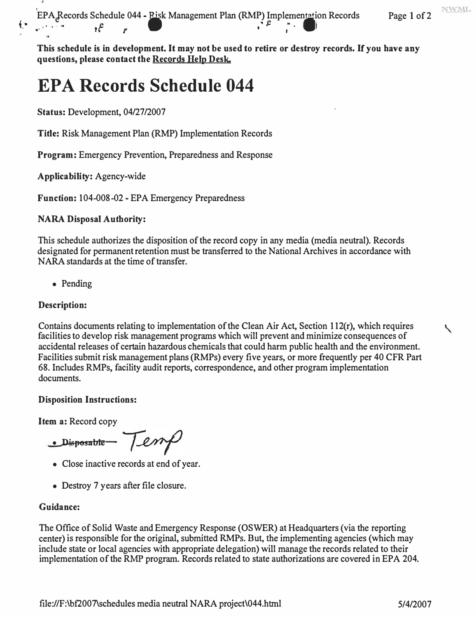**NWML** 

**EPA Records Schedule 044 - Pisk Management Plan (RMP) Implementation Records Page 1 of 2** EFA<sub>C</sub> coolumns Schedule 044 - FISK Management Flatt (KWF) implies<br> $\oint_{\mathbb{R}}$   $\oint_{\mathbb{R}}$   $\oint_{\mathbb{R}}$   $\oint_{\mathbb{R}}$   $\oint_{\mathbb{R}}$ 

**This schedule is in development. It may not be used to retire or destroy records. If you have any questions, please contact the Records Help Desk.** 

## **EPA Records Schedule 044**

**Status: Development, 04/27/2007** 

**Title: Risk Management Plan (RMP) Implementation Records** 

**Program: Emergency Prevention, Preparedness and Response** 

**Applicability: Agency-wide** 

**Function: 104-008-02 - EPA Emergency Preparedness** 

#### **NARA Disposal Authority:**

**This schedule authorizes the disposition of the record copy in any media (media neutral). Records designated for permanent retention must be transferred to the National Archives in accordance with NARA standards at the time of transfer.** 

**• Pending** 

#### **Description:**

**Contains documents relating to implementation of the Clean Air Act, Section 112(r), which requires facilities to develop risk management programs which will prevent and minimize consequences of accidental releases of certain hazardous chemicals that could harm public health and the environment. Facilities submit risk management plans (RMPs) every five years, or more frequently per 40 CFR Part 68. Includes RMPs, facility audit reports, correspondence, and other program implementation documents.** 

#### **Disposition Instructions:**

**Item a: Record copy** 

**• Disp6sable**

- **Close inactive records at end of year.**
- **Destroy 7 years after file closure.**

#### **Guidance:**

**The Office of Solid Waste and Emergency Response (OSWER) at Headquarters (via the reporting center) is responsible for the original, submitted RMPs. But, the implementing agencies (which may include state or local agencies with appropriate delegation) will manage the records related to their implementation of the RMP program. Records related to state authorizations are covered in EPA 204.**  K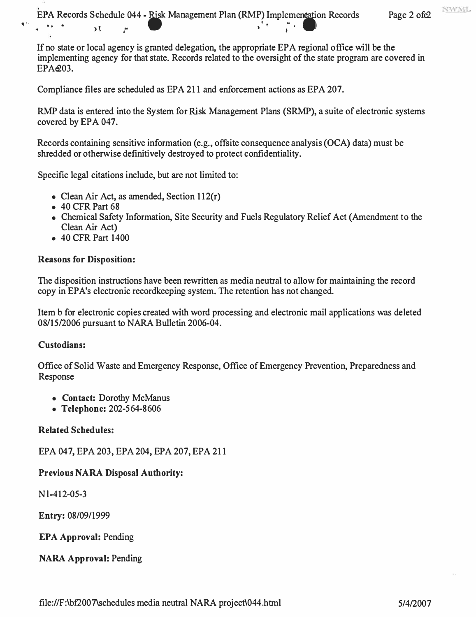EPA Records Schedule 044 - Risk Management Plan (RMP) Implementation Records Page 2 ofe2 � . . - ,. ),<sup>1</sup> t' • I

If no state or local agency is granted delegation, the appropriate EPA regional office will be the implementing agency for that state. Records related to the oversight of the state program are covered in EPAe203.

Compliance files are scheduled as EPA 211 and enforcement actions as EPA 207.

RMP data is entered into the System for Risk Management Plans (SRMP), a suite of electronic systems covered by EPA 047.

Records containing sensitive information (e.g., offsite consequence analysis (OCA) data) must be shredded or otherwise definitively destroyed to protect confidentiality.

Specific legal citations include, but are not limited to:

- Clean Air Act, as amended, Section 112(r)
- 40 CFR Part 68
- Chemical Safety Information, Site Security and Fuels Regulatory Relief Act (Amendment to the Clean Air Act)
- 40 CFR Part 1400

### **Reasons for Disposition:**

The disposition instructions have been rewritten as media neutral to allow for maintaining the record copy in EP A's electronic recordkeeping system. The retention has not changed.

Item b for electronic copies created with word processing and electronic mail applications was deleted 08/15/2006 pursuant to NARA Bulletin 2006-04.

## **Custodians:**

Office of Solid Waste and Emergency Response, Office of Emergency Prevention, Preparedness and Response

- **Contact:** Dorothy McManus
- **Telephone:** 202-564-8606

## **Related Schedules:**

EPA 047, EPA 203, EPA 204, EPA 207, EPA 211

## **Previous NARA Disposal Authority:**

Nl-412-05-3

Entry: 08/09/1999

**EPA Approval:** Pending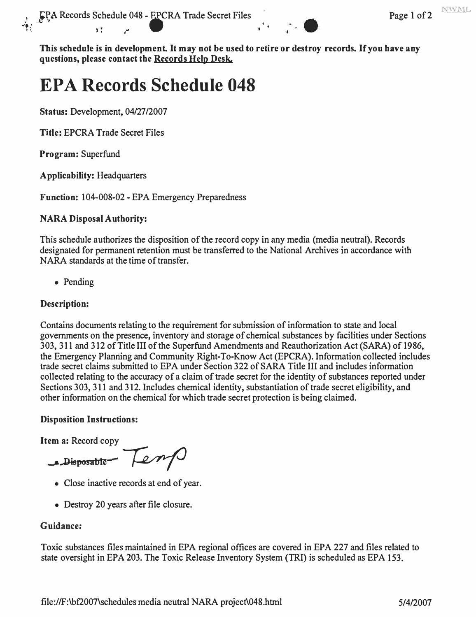**',,** 

# **EPA Records Schedule 048**

**Status: Development, 04/27/2007** 

**Title: EPCRA Trade Secret Files** 

**Program: Superfund** 

**Applicability: Headquarters** 

**Function: 104-008-02 - EPA Emergency Preparedness** 

#### **NARA Disposal Authority:**

**This schedule authorizes the disposition of the record copy in any media (media neutral). Records designated for permanent retention must be transferred to the National Archives in accordance with NARA standards at the time of transfer.** 

**• Pending** 

#### **Description:**

**Contains documents relating to the requirement for submission of information to state and local governments on the presence, inventory and storage of chemical substances by facilities under Sections 303, 311 and 312 of Title III of the Superfund Amendments and Reauthorization Act (SARA) of 1986, the Emergency Planning and Community Right-To-Know Act (EPCRA). Information collected includes trade secret claims submitted to EPA under Section 322 of SARA Title III and includes information collected relating to the accuracy of a claim of trade secret for the identity of substances reported under Sections 303, 311 and 312. Includes chemical identity, substantiation of trade secret eligibility, and other information on the chemical for which trade secret protection is being claimed.** 

#### **Disposition Instructions:**

**Item a: Record copy** 

**a** Disposable - **e** m/

- **Close inactive records at end of year.**
- **Destroy 20 years after file closure.**

## **Guidance:**

**Toxic substances files maintained in EPA regional offices are covered in EPA 227 and files related to state oversight in EPA 203. The Toxic Release Inventory System (TRI ) is scheduled as EPA 153.**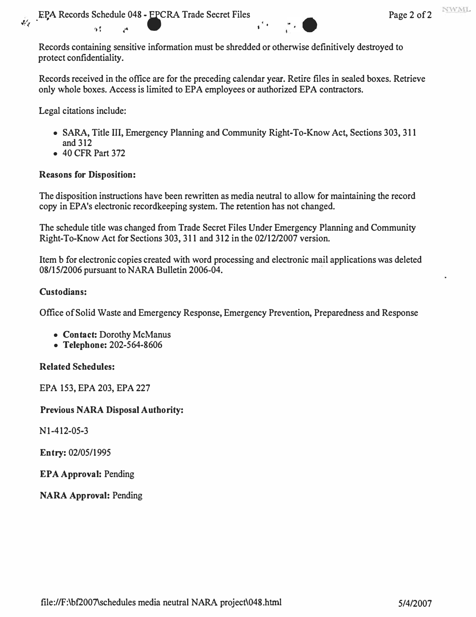Records containing sensitive information must be shredded or otherwise definitively destroyed to protect confidentiality.

Records received in the office are for the preceding calendar year. Retire files in sealed boxes. Retrieve only whole boxes. Access is limited to EPA employees or authorized EPA contractors.

Legal citations include:

- SARA, Title III, Emergency Planning and Community Right-To-Know Act, Sections 303, 311 and 312
- 40 CFR Part 372

#### **Reasons for Disposition:**

The disposition instructions have been rewritten as media neutral to allow for maintaining the record copy in EPA's electronic record eeping system. The retention has not changed.

The schedule title was changed from Trade Secret Files Under Emergency Planning and Community Right-To-Know Act for Sections 303,311 and 312 in the 02/12/2007 version.

Item b for electronic copies created with word processing and electronic mail applications was deleted 08/15/2006 pursuant to NARA Bulletin 2006-04.

#### **Custodians:**

Office of Solid Waste and Emergency Response, Emergency Prevention, Preparedness and Response

- **Contact:** Dorothy McManus
- **Telephone:** 202-564-8606

#### **Related Schedules:**

EPA 153, EPA 203, EPA 227

#### **Previous NARA Disposal Authority:**

Nl-412-05-3

**Entry:** 02/05/1995

**EPA Approval:** Pending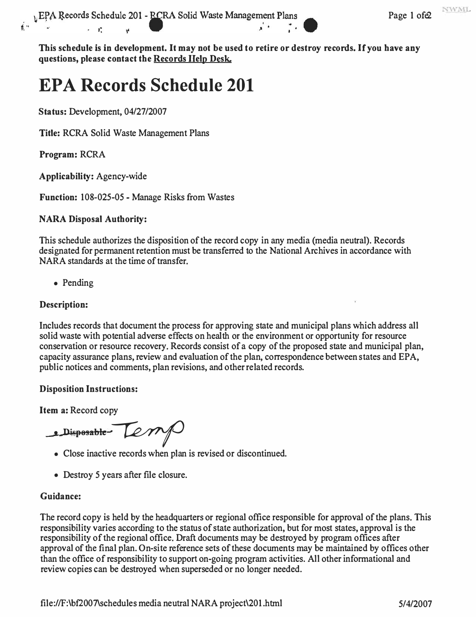# **EPA Records Schedule 201**

**Status:** Development, 04/27/2007

**Title:** RCRA Solid Waste Management Plans

**Program:** RCRA

**Applicability:** Agency-wide

**Function:** 108-025-05 - Manage Risks from Wastes

#### **NARA Disposal Authority:**

This schedule authorizes the disposition of the record copy in any media (media neutral). Records designated for permanent retention must be transferred to the National Archives in accordance with NARA standards at the time of transfer.

• Pending

#### **Description:**

Includes records that document the process for approving state and municipal plans which address all solid waste with potential adverse effects on health or the environment or opportunity for resource conservation or resource recovery. Records consist of a copy of the proposed state and municipal plan, capacity assurance plans, review and evaluation of the plan, correspondence between states and EPA, public notices and comments, plan revisions, and other related records.

#### **Disposition Instructions:**

**Item a:** Record copy

**the Disposable Lemple** 

- Close inactive records when plan is revised or discontinued.
- Destroy 5 years after file closure.

## **Guidance:**

The record copy is held by the headquarters or regional office responsible for approval of the plans. This responsibility varies according to the status of state authorization, but for most states, approval is the responsibility of the regional office. Draft documents may be destroyed by program offices after approval of the final plan. On-site reference sets of these documents may be maintained by offices other than the office of responsibility to support on-going program activities. All other informational and review copies can be destroyed when superseded or no longer needed.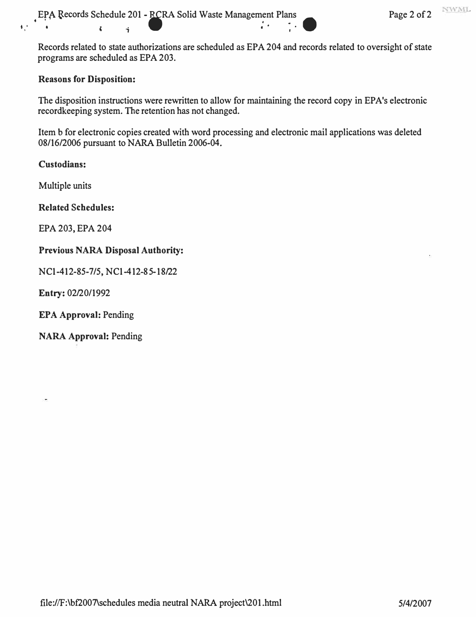**Records related to state authorizations are scheduled as EPA 204 and records related to oversight of state programs are scheduled as EPA 203.** 

#### **Reasons for Disposition:**

The disposition instructions were rewritten to allow for maintaining the record copy in EPA's electronic **recordkeeping system. The retention has not changed.** 

**Item b for electronic copies created with word processing and electronic mail applications was deleted 08/16/2006 pursuant to NARA Bulletin 2006-04.** 

#### **Custodians:**

**Multiple units** 

#### **Related Schedules:**

**EPA 203, EPA 204** 

#### **Previous NARA Disposal Authority:**

**NCl-412-85-7/5, NCl-412-85-18/22** 

**Entry: 02/20/1992** 

**EPA Approval: Pending**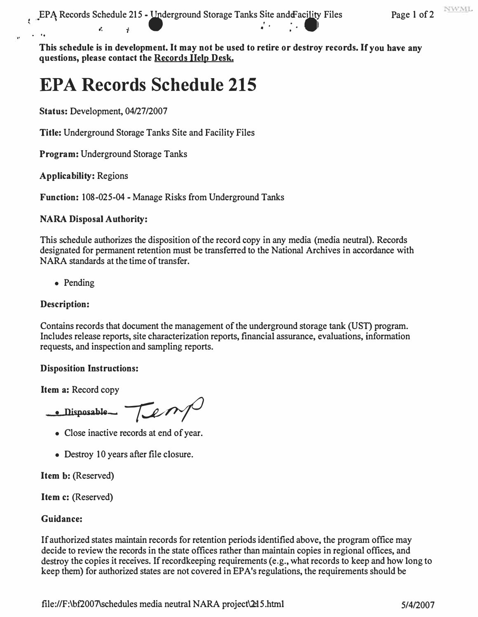## **EPA Records Schedule 215**

**Status: Development, 04/27/2007** 

**Title: Underground Storage Tanks Site and Facility Files** 

**Program: Underground Storage Tanks** 

**Applicability: Regions** 

**Function: 108-025-04 - Manage Risks from Underground Tanks** 

#### **NARA Disposal Authority:**

**This schedule authorizes the disposition of the record copy in any media (media neutral). Records designated for permanent retention must be transferred to the National Archives in accordance with NARA standards at the time of transfer.** 

**• Pending** 

#### **Description:**

Contains records that document the management of the underground storage tank (UST) program. **Includes release reports, site characterization reports, financial assurance, evaluations, information requests, and inspection and sampling reports.** 

#### **Disposition Instructions:**

**Item a: Record copy** 

 $\bullet$  Disposable  $\rightarrow$   $\rightarrow$   $\rightarrow$   $\rightarrow$   $\rightarrow$ 

- **Close inactive records at end of year.**
- **Destroy 10 years after file closure.**

**Item b: (Reserved)** 

**Item c: (Reserved)** 

#### **Guidance:**

**If authorized states maintain records for retention periods identified above, the program office may decide to review the records in the state offices rather than maintain copies in regional offices, and destroy the copies it receives. If recordkeeping requirements (e.g., what records to keep and how long to keep them) for authorized states are not covered in EPA's regulations, the requirements should be**